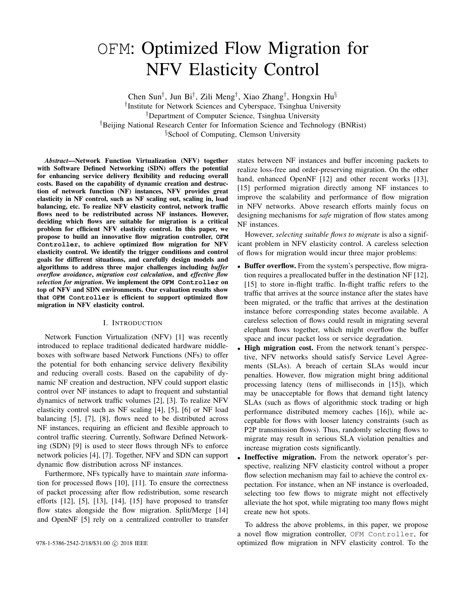# OFM: Optimized Flow Migration for NFV Elasticity Control

Chen Sun<sup>†</sup>, Jun Bi<sup>†</sup>, Zili Meng<sup>†</sup>, Xiao Zhang<sup>†</sup>, Hongxin Hu<sup>§</sup> † Institute for Network Sciences and Cyberspace, Tsinghua University †Department of Computer Science, Tsinghua University †Beijing National Research Center for Information Science and Technology (BNRist) §School of Computing, Clemson University

*Abstract*—Network Function Virtualization (NFV) together with Software Defined Networking (SDN) offers the potential for enhancing service delivery flexibility and reducing overall costs. Based on the capability of dynamic creation and destruction of network function (NF) instances, NFV provides great elasticity in NF control, such as NF scaling out, scaling in, load balancing, etc. To realize NFV elasticity control, network traffic flows need to be redistributed across NF instances. However, deciding which flows are suitable for migration is a critical problem for efficient NFV elasticity control. In this paper, we propose to build an innovative flow migration controller, **OFM Controller**, to achieve optimized flow migration for NFV elasticity control. We identify the trigger conditions and control goals for different situations, and carefully design models and algorithms to address three major challenges including *buffer overflow avoidance*, *migration cost calculation*, and *effective flow selection for migration*. We implement the **OFM Controller** on top of NFV and SDN environments. Our evaluation results show that **OFM Controller** is efficient to support optimized flow migration in NFV elasticity control.

#### I. INTRODUCTION

Network Function Virtualization (NFV) [1] was recently introduced to replace traditional dedicated hardware middleboxes with software based Network Functions (NFs) to offer the potential for both enhancing service delivery flexibility and reducing overall costs. Based on the capability of dynamic NF creation and destruction, NFV could support elastic control over NF instances to adapt to frequent and substantial dynamics of network traffic volumes [2], [3]. To realize NFV elasticity control such as NF scaling [4], [5], [6] or NF load balancing [5], [7], [8], flows need to be distributed across NF instances, requiring an efficient and flexible approach to control traffic steering. Currently, Software Defined Networking (SDN) [9] is used to steer flows through NFs to enforce network policies [4], [7]. Together, NFV and SDN can support dynamic flow distribution across NF instances.

Furthermore, NFs typically have to maintain *state* information for processed flows [10], [11]. To ensure the correctness of packet processing after flow redistribution, some research efforts [12], [5], [13], [14], [15] have proposed to transfer flow states alongside the flow migration. Split/Merge [14] and OpenNF [5] rely on a centralized controller to transfer states between NF instances and buffer incoming packets to realize loss-free and order-preserving migration. On the other hand, enhanced OpenNF [12] and other recent works [13], [15] performed migration directly among NF instances to improve the scalability and performance of flow migration in NFV networks. Above research efforts mainly focus on designing mechanisms for *safe* migration of flow states among NF instances.

However, *selecting suitable flows to migrate* is also a significant problem in NFV elasticity control. A careless selection of flows for migration would incur three major problems:

- Buffer overflow. From the system's perspective, flow migration requires a preallocated buffer in the destination NF [12], [15] to store in-flight traffic. In-flight traffic refers to the traffic that arrives at the source instance after the states have been migrated, or the traffic that arrives at the destination instance before corresponding states become available. A careless selection of flows could result in migrating several elephant flows together, which might overflow the buffer space and incur packet loss or service degradation.
- High migration cost. From the network tenant's perspective, NFV networks should satisfy Service Level Agreements (SLAs). A breach of certain SLAs would incur penalties. However, flow migration might bring additional processing latency (tens of milliseconds in [15]), which may be unacceptable for flows that demand tight latency SLAs (such as flows of algorithmic stock trading or high performance distributed memory caches [16]), while acceptable for flows with looser latency constraints (such as P2P transmission flows). Thus, randomly selecting flows to migrate may result in serious SLA violation penalties and increase migration costs significantly.
- Ineffective migration. From the network operator's perspective, realizing NFV elasticity control without a proper flow selection mechanism may fail to achieve the control expectation. For instance, when an NF instance is overloaded, selecting too few flows to migrate might not effectively alleviate the hot spot, while migrating too many flows might create new hot spots.

To address the above problems, in this paper, we propose a novel flow migration controller, OFM Controller, for 978-1-5386-2542-2/18/\$31.00 © 2018 IEEE optimized flow migration in NFV elasticity control. To the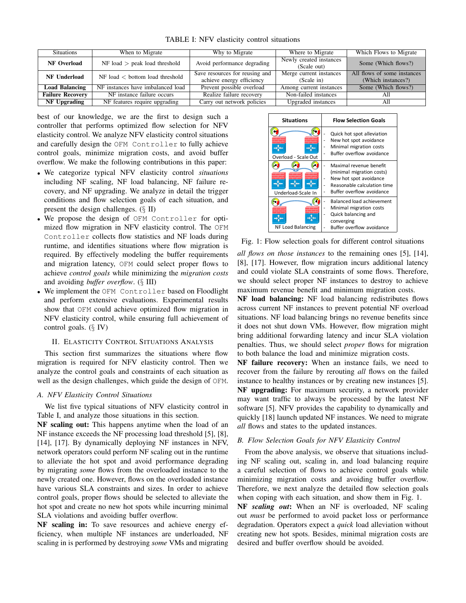TABLE I: NFV elasticity control situations

| <b>Situations</b>       | When to Migrate                       | Why to Migrate                                              | Where to Migrate                       | Which Flows to Migrate                            |
|-------------------------|---------------------------------------|-------------------------------------------------------------|----------------------------------------|---------------------------------------------------|
| <b>NF</b> Overload      | $NF$ load $>$ peak load threshold     | Avoid performance degrading                                 | Newly created instances<br>(Scale out) | Some (Which flows?)                               |
| NF Underload            | $NF$ load $\lt$ bottom load threshold | Save resources for reusing and<br>achieve energy efficiency | Merge current instances<br>(Scale in)  | All flows of some instances<br>(Which instances?) |
| <b>Load Balancing</b>   | NF instances have imbalanced load     | Prevent possible overload                                   | Among current instances                | Some (Which flows?)                               |
| <b>Failure Recovery</b> | NF instance failure occurs            | Realize failure recovery                                    | Non-failed instances                   | All                                               |
| NF Upgrading            | NF features require upgrading         | Carry out network policies                                  | Upgraded instances                     | All                                               |

best of our knowledge, we are the first to design such a controller that performs optimized flow selection for NFV elasticity control. We analyze NFV elasticity control situations and carefully design the OFM Controller to fully achieve control goals, minimize migration costs, and avoid buffer overflow. We make the following contributions in this paper:

- We categorize typical NFV elasticity control *situations* including NF scaling, NF load balancing, NF failure recovery, and NF upgrading. We analyze in detail the trigger conditions and flow selection goals of each situation, and present the design challenges. (§ II)
- We propose the design of OFM Controller for optimized flow migration in NFV elasticity control. The OFM Controller collects flow statistics and NF loads during runtime, and identifies situations where flow migration is required. By effectively modeling the buffer requirements and migration latency, OFM could select proper flows to achieve *control goals* while minimizing the *migration costs* and avoiding *buffer overflow*. (§ III)
- We implement the OFM Controller based on Floodlight and perform extensive evaluations. Experimental results show that OFM could achieve optimized flow migration in NFV elasticity control, while ensuring full achievement of control goals. (§ IV)

#### II. ELASTICITY CONTROL SITUATIONS ANALYSIS

This section first summarizes the situations where flow migration is required for NFV elasticity control. Then we analyze the control goals and constraints of each situation as well as the design challenges, which guide the design of OFM.

## *A. NFV Elasticity Control Situations*

We list five typical situations of NFV elasticity control in Table I, and analyze those situations in this section.

NF scaling out: This happens anytime when the load of an NF instance exceeds the NF processing load threshold [5], [8], [14], [17]. By dynamically deploying NF instances in NFV, network operators could perform NF scaling out in the runtime to alleviate the hot spot and avoid performance degrading by migrating *some* flows from the overloaded instance to the newly created one. However, flows on the overloaded instance have various SLA constraints and sizes. In order to achieve control goals, proper flows should be selected to alleviate the hot spot and create no new hot spots while incurring minimal SLA violations and avoiding buffer overflow.

NF scaling in: To save resources and achieve energy efficiency, when multiple NF instances are underloaded, NF scaling in is performed by destroying *some* VMs and migrating



Fig. 1: Flow selection goals for different control situations

*all flows on those instances* to the remaining ones [5], [14], [8], [17]. However, flow migration incurs additional latency and could violate SLA constraints of some flows. Therefore, we should select proper NF instances to destroy to achieve maximum revenue benefit and minimum migration costs.

NF load balancing: NF load balancing redistributes flows across current NF instances to prevent potential NF overload situations. NF load balancing brings no revenue benefits since it does not shut down VMs. However, flow migration might bring additional forwarding latency and incur SLA violation penalties. Thus, we should select *proper* flows for migration to both balance the load and minimize migration costs.

NF failure recovery: When an instance fails, we need to recover from the failure by rerouting *all* flows on the failed instance to healthy instances or by creating new instances [5]. NF upgrading: For maximum security, a network provider may want traffic to always be processed by the latest NF software [5]. NFV provides the capability to dynamically and quickly [18] launch updated NF instances. We need to migrate *all* flows and states to the updated instances.

## *B. Flow Selection Goals for NFV Elasticity Control*

From the above analysis, we observe that situations including NF scaling out, scaling in, and load balancing require a careful selection of flows to achieve control goals while minimizing migration costs and avoiding buffer overflow. Therefore, we next analyze the detailed flow selection goals when coping with each situation, and show them in Fig. 1.

NF *scaling out*: When an NF is overloaded, NF scaling out *must* be performed to avoid packet loss or performance degradation. Operators expect a *quick* load alleviation without creating new hot spots. Besides, minimal migration costs are desired and buffer overflow should be avoided.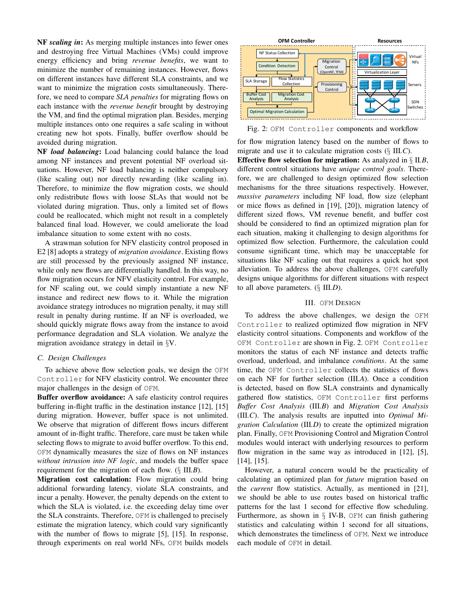NF *scaling in*: As merging multiple instances into fewer ones and destroying free Virtual Machines (VMs) could improve energy efficiency and bring *revenue benefits*, we want to minimize the number of remaining instances. However, flows on different instances have different SLA constraints, and we want to minimize the migration costs simultaneously. Therefore, we need to compare *SLA penalties* for migrating flows on each instance with the *revenue benefit* brought by destroying the VM, and find the optimal migration plan. Besides, merging multiple instances onto one requires a safe scaling in without creating new hot spots. Finally, buffer overflow should be avoided during migration.

NF *load balancing*: Load balancing could balance the load among NF instances and prevent potential NF overload situations. However, NF load balancing is neither compulsory (like scaling out) nor directly rewarding (like scaling in). Therefore, to minimize the flow migration costs, we should only redistribute flows with loose SLAs that would not be violated during migration. Thus, only a limited set of flows could be reallocated, which might not result in a completely balanced final load. However, we could ameliorate the load imbalance situation to some extent with no costs.

A strawman solution for NFV elasticity control proposed in E2 [8] adopts a strategy of *migration avoidance*. Existing flows are still processed by the previously assigned NF instance, while only new flows are differentially handled. In this way, no flow migration occurs for NFV elasticity control. For example, for NF scaling out, we could simply instantiate a new NF instance and redirect new flows to it. While the migration avoidance strategy introduces no migration penalty, it may still result in penalty during runtime. If an NF is overloaded, we should quickly migrate flows away from the instance to avoid performance degradation and SLA violation. We analyze the migration avoidance strategy in detail in §V.

## *C. Design Challenges*

To achieve above flow selection goals, we design the OFM Controller for NFV elasticity control. We encounter three major challenges in the design of OFM.

Buffer overflow avoidance: A safe elasticity control requires buffering in-flight traffic in the destination instance [12], [15] during migration. However, buffer space is not unlimited. We observe that migration of different flows incurs different amount of in-flight traffic. Therefore, care must be taken while selecting flows to migrate to avoid buffer overflow. To this end, OFM dynamically measures the size of flows on NF instances *without intrusion into NF logic*, and models the buffer space requirement for the migration of each flow. (§ III*.B*).

Migration cost calculation: Flow migration could bring additional forwarding latency, violate SLA constraints, and incur a penalty. However, the penalty depends on the extent to which the SLA is violated, i.e. the exceeding delay time over the SLA constraints. Therefore, OFM is challenged to precisely estimate the migration latency, which could vary significantly with the number of flows to migrate [5], [15]. In response, through experiments on real world NFs, OFM builds models



Fig. 2: OFM Controller components and workflow

for flow migration latency based on the number of flows to migrate and use it to calculate migration costs (§ III*.C*).

Effective flow selection for migration: As analyzed in § II*.B*, different control situations have *unique control goals*. Therefore, we are challenged to design optimized flow selection mechanisms for the three situations respectively. However, *massive parameters* including NF load, flow size (elephant or mice flows as defined in [19], [20]), migration latency of different sized flows, VM revenue benefit, and buffer cost should be considered to find an optimized migration plan for each situation, making it challenging to design algorithms for optimized flow selection. Furthermore, the calculation could consume significant time, which may be unacceptable for situations like NF scaling out that requires a quick hot spot alleviation. To address the above challenges, OFM carefully designs unique algorithms for different situations with respect to all above parameters. (§ III*.D*).

#### III. OFM DESIGN

To address the above challenges, we design the OFM Controller to realized optimized flow migration in NFV elasticity control situations. Components and workflow of the OFM Controller are shown in Fig. 2. OFM Controller monitors the status of each NF instance and detects traffic overload, underload, and imbalance *conditions*. At the same time, the OFM Controller collects the statistics of flows on each NF for further selection (III*.A*). Once a condition is detected, based on flow SLA constraints and dynamically gathered flow statistics, OFM Controller first performs *Buffer Cost Analysis* (III*.B*) and *Migration Cost Analysis* (III*.C*). The analysis results are inputted into *Optimal Migration Calculation* (III*.D*) to create the optimized migration plan. Finally, OFM Provisioning Control and Migration Control modules would interact with underlying resources to perform flow migration in the same way as introduced in [12], [5], [14], [15].

However, a natural concern would be the practicality of calculating an optimized plan for *future* migration based on the *current* flow statistics. Actually, as mentioned in [21], we should be able to use routes based on historical traffic patterns for the last 1 second for effective flow scheduling. Furthermore, as shown in  $\S$  IV-B, OFM can finish gathering statistics and calculating within 1 second for all situations, which demonstrates the timeliness of OFM. Next we introduce each module of OFM in detail.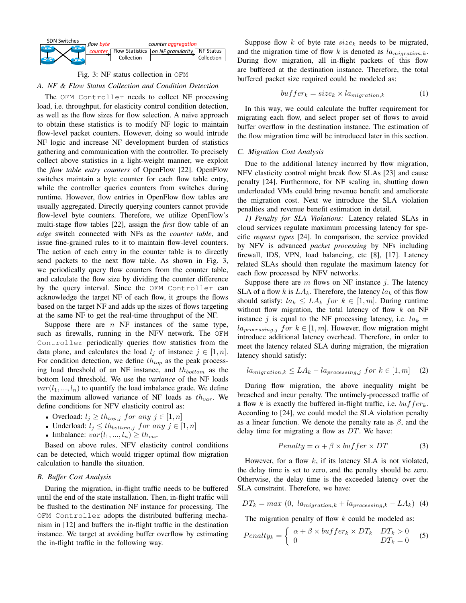

## Fig. 3: NF status collection in OFM *A. NF & Flow Status Collection and Condition Detection*

The OFM Controller needs to collect NF processing load, i.e. throughput, for elasticity control condition detection, as well as the flow sizes for flow selection. A naive approach to obtain these statistics is to modify NF logic to maintain flow-level packet counters. However, doing so would intrude NF logic and increase NF development burden of statistics gathering and communication with the controller. To precisely collect above statistics in a light-weight manner, we exploit the *flow table entry counters* of OpenFlow [22]. OpenFlow switches maintain a byte counter for each flow table entry, while the controller queries counters from switches during runtime. However, flow entries in OpenFlow flow tables are usually aggregated. Directly querying counters cannot provide flow-level byte counters. Therefore, we utilize OpenFlow's multi-stage flow tables [22], assign the *first* flow table of an *edge* switch connected with NFs as the *counter table*, and issue fine-grained rules to it to maintain flow-level counters. The action of each entry in the counter table is to directly send packets to the next flow table. As shown in Fig. 3, we periodically query flow counters from the counter table, and calculate the flow size by dividing the counter difference by the query interval. Since the OFM Controller can acknowledge the target NF of each flow, it groups the flows based on the target NF and adds up the sizes of flows targeting at the same NF to get the real-time throughput of the NF.

Suppose there are  $n$  NF instances of the same type, such as firewalls, running in the NFV network. The OFM Controller periodically queries flow statistics from the data plane, and calculates the load  $l_j$  of instance  $j \in [1, n]$ . For condition detection, we define  $th_{top}$  as the peak processing load threshold of an NF instance, and  $th_{bottom}$  as the bottom load threshold. We use the *variance* of the NF loads  $var(l_1, ..., l_n)$  to quantify the load imbalance grade. We define the maximum allowed variance of NF loads as  $th_{var}$ . We define conditions for NFV elasticity control as:

- Overload:  $l_j \geq th_{top,j}$  for any  $j \in [1, n]$
- Underload:  $l_j \leq th_{bottom,j}$  for any  $j \in [1, n]$
- Imbalance:  $var(l_1, ..., l_n) \geq th_{var}$

Based on above rules, NFV elasticity control conditions can be detected, which would trigger optimal flow migration calculation to handle the situation.

## *B. Buffer Cost Analysis*

During the migration, in-flight traffic needs to be buffered until the end of the state installation. Then, in-flight traffic will be flushed to the destination NF instance for processing. The OFM Controller adopts the distributed buffering mechanism in [12] and buffers the in-flight traffic in the destination instance. We target at avoiding buffer overflow by estimating the in-flight traffic in the following way.

Suppose flow  $k$  of byte rate  $size_k$  needs to be migrated, and the migration time of flow k is denoted as  $la<sub>minoration,k</sub>$ . During flow migration, all in-flight packets of this flow are buffered at the destination instance. Therefore, the total buffered packet size required could be modeled as:

$$
buffer_k = size_k \times la_{migration,k}
$$
 (1)

In this way, we could calculate the buffer requirement for migrating each flow, and select proper set of flows to avoid buffer overflow in the destination instance. The estimation of the flow migration time will be introduced later in this section.

## *C. Migration Cost Analysis*

Due to the additional latency incurred by flow migration, NFV elasticity control might break flow SLAs [23] and cause penalty [24]. Furthermore, for NF scaling in, shutting down underloaded VMs could bring revenue benefit and ameliorate the migration cost. Next we introduce the SLA violation penalties and revenue benefit estimation in detail.

*1) Penalty for SLA Violations:* Latency related SLAs in cloud services regulate maximum processing latency for specific *request types* [24]. In comparison, the service provided by NFV is advanced *packet processing* by NFs including firewall, IDS, VPN, load balancing, etc [8], [17]. Latency related SLAs should then regulate the maximum latency for each flow processed by NFV networks.

Suppose there are  $m$  flows on NF instance  $j$ . The latency SLA of a flow k is  $LA_k$ . Therefore, the latency  $la_k$  of this flow should satisfy:  $la_k \leq LA_k$  for  $k \in [1, m]$ . During runtime without flow migration, the total latency of flow  $k$  on NF instance j is equal to the NF processing latency, i.e.  $la_k =$  $la_{processing,j}$  for  $k \in [1, m]$ . However, flow migration might introduce additional latency overhead. Therefore, in order to meet the latency related SLA during migration, the migration latency should satisfy:

$$
lampration,k \le LAk - laprocessing,j for k \in [1, m] \quad (2)
$$

During flow migration, the above inequality might be breached and incur penalty. The untimely-processed traffic of a flow k is exactly the buffered in-flight traffic, i.e.  $buffer_k$ . According to [24], we could model the SLA violation penalty as a linear function. We denote the penalty rate as  $\beta$ , and the delay time for migrating a flow as  $DT$ . We have:

$$
Penalty = \alpha + \beta \times buffer \times DT \tag{3}
$$

However, for a flow  $k$ , if its latency SLA is not violated, the delay time is set to zero, and the penalty should be zero. Otherwise, the delay time is the exceeded latency over the SLA constraint. Therefore, we have:

$$
DT_k = max (0, la migration,k + laprocessing,k - LA_k) (4)
$$

The migration penalty of flow  $k$  could be modeled as:

$$
Penalty_k = \begin{cases} \alpha + \beta \times buffer_k \times DT_k & DT_k > 0\\ 0 & DT_k = 0 \end{cases} \tag{5}
$$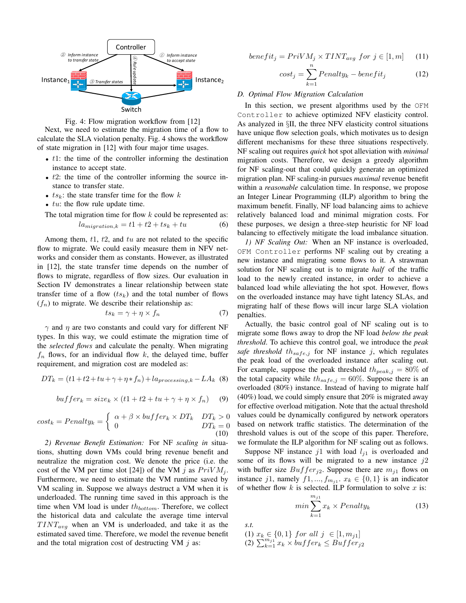

Fig. 4: Flow migration workflow from [12]

Next, we need to estimate the migration time of a flow to calculate the SLA violation penalty. Fig. 4 shows the workflow of state migration in [12] with four major time usages.

- $\bullet$  t1: the time of the controller informing the destination instance to accept state.
- $t2$ : the time of the controller informing the source instance to transfer state.
- $ts_k$ : the state transfer time for the flow k
- $\bullet$  tu: the flow rule update time.

The total migration time for flow  $k$  could be represented as:

$$
la migration,k = t1 + t2 + ts_k + tu
$$
 (6)

Among them,  $t_1$ ,  $t_2$ , and  $tu$  are not related to the specific flow to migrate. We could easily measure them in NFV networks and consider them as constants. However, as illustrated in [12], the state transfer time depends on the number of flows to migrate, regardless of flow sizes. Our evaluation in Section IV demonstrates a linear relationship between state transfer time of a flow  $(ts_k)$  and the total number of flows  $(f_n)$  to migrate. We describe their relationship as:

$$
ts_k = \gamma + \eta \times f_n \tag{7}
$$

 $\gamma$  and  $\eta$  are two constants and could vary for different NF types. In this way, we could estimate the migration time of the *selected flows* and calculate the penalty. When migrating  $f_n$  flows, for an individual flow k, the delayed time, buffer requirement, and migration cost are modeled as:

$$
DT_k = (t1 + t2 + tu + \gamma + \eta * f_n) + la_{processing,k} - LA_k
$$
 (8)

$$
buffer_k = size_k \times (t1 + t2 + tu + \gamma + \eta \times f_n)
$$
 (9)

$$
cost_k = Penalty_k = \begin{cases} \alpha + \beta \times buffer_k \times DT_k & DT_k > 0\\ 0 & DT_k = 0 \end{cases}
$$
\n(10)

*2) Revenue Benefit Estimation:* For NF *scaling in* situations, shutting down VMs could bring revenue benefit and neutralize the migration cost. We denote the price (i.e. the cost of the VM per time slot [24]) of the VM j as  $PriVM_i$ . Furthermore, we need to estimate the VM runtime saved by VM scaling in. Suppose we always destruct a VM when it is underloaded. The running time saved in this approach is the time when VM load is under  $th_{bottom}$ . Therefore, we collect the historical data and calculate the average time interval  $TINT_{avg}$  when an VM is underloaded, and take it as the estimated saved time. Therefore, we model the revenue benefit and the total migration cost of destructing VM  $j$  as:

$$
benefit_j = PriVM_j \times TINT_{avg} for j \in [1, m] \tag{11}
$$

$$
cost_j = \sum_{k=1}^{n} Penalty_k - benefit_j \tag{12}
$$

#### *D. Optimal Flow Migration Calculation*

In this section, we present algorithms used by the OFM Controller to achieve optimized NFV elasticity control. As analyzed in §II, the three NFV elasticity control situations have unique flow selection goals, which motivates us to design different mechanisms for these three situations respectively. NF scaling out requires *quick* hot spot alleviation with *minimal* migration costs. Therefore, we design a greedy algorithm for NF scaling-out that could quickly generate an optimized migration plan. NF scaling-in pursues *maximal* revenue benefit within a *reasonable* calculation time. In response, we propose an Integer Linear Programming (ILP) algorithm to bring the maximum benefit. Finally, NF load balancing aims to achieve relatively balanced load and minimal migration costs. For these purposes, we design a three-step heuristic for NF load balancing to effectively mitigate the load imbalance situation.

*1) NF Scaling Out:* When an NF instance is overloaded, OFM Controller performs NF scaling out by creating a new instance and migrating some flows to it. A strawman solution for NF scaling out is to migrate *half* of the traffic load to the newly created instance, in order to achieve a balanced load while alleviating the hot spot. However, flows on the overloaded instance may have tight latency SLAs, and migrating half of these flows will incur large SLA violation penalties.

Actually, the basic control goal of NF scaling out is to migrate some flows away to drop the NF load *below the peak threshold*. To achieve this control goal, we introduce the *peak safe threshold*  $th_{safe,j}$  for NF instance j, which regulates the peak load of the overloaded instance after scaling out. For example, suppose the peak threshold  $th_{peak,j} = 80\%$  of the total capacity while  $th_{safe, j} = 60\%$ . Suppose there is an overloaded (80%) instance. Instead of having to migrate half (40%) load, we could simply ensure that 20% is migrated away for effective overload mitigation. Note that the actual threshold values could be dynamically configured by network operators based on network traffic statistics. The determination of the threshold values is out of the scope of this paper. Therefore, we formulate the ILP algorithm for NF scaling out as follows.

Suppose NF instance  $j1$  with load  $l_{j1}$  is overloaded and some of its flows will be migrated to a new instance  $j2$ with buffer size  $Buffer_{i2}$ . Suppose there are  $m_{i1}$  flows on instance j1, namely  $f1, ..., f_{m_{j1}}$ .  $x_k \in \{0, 1\}$  is an indicator of whether flow  $k$  is selected. ILP formulation to solve  $x$  is:

$$
min \sum_{k=1}^{m_{j1}} x_k \times Penalty_k \tag{13}
$$

*s.t.*

(1) 
$$
x_k \in \{0, 1\}
$$
 for all  $j \in [1, m_{j1}]$   
(2)  $\sum_{k=1}^{m_{j1}} x_k \times buffer_k \leq Buffer_{j2}$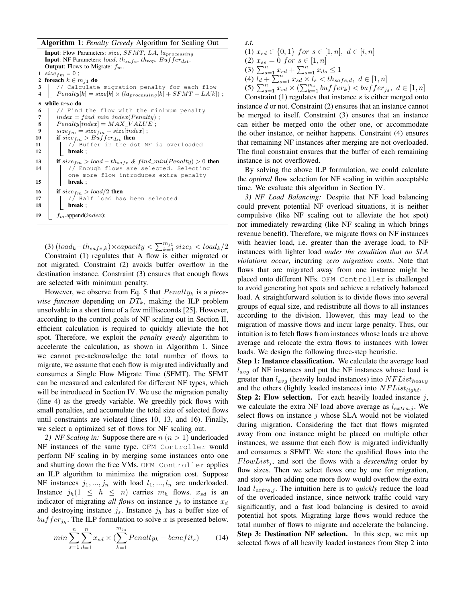Algorithm 1: *Penalty Greedy* Algorithm for Scaling Out

```
Input: Flow Parameters: size, SFMT, LA, la<sub>processing</sub>
   Input: NF Parameters: load, th_{safe}, th_{top}, Buffer_{dst}.
   Output: Flows to Migrate: f_m.
1 size_{fm} = 0;
2 foreach k \in m_{j1} do
3 | // Calculate migration penalty for each flow
4 \vert Penalty[k] = size[k] \times (la_{processing}[k] + SFMT - LA[k]);
5 while true do
6 | // Find the flow with the minimum penalty
7 index = find\_min\_index(Penalty);<br>8 Penalty[index] = MAX\_VALUE;Penalty[index] = MAX\_VALUE;9 size_{fm} = size_{fm} + size[index];<br>10 if size_{fm} > Buffer_{dst} then
10 if size_{fm} > Buffer_{dst} then<br>11 // Buffer in the ds
             // Buffer in the dst NF is overloaded
12 break ;
13 if size_{fm} > load - th_{safe} & find_min(Penalty) > 0 then<br>14 | // Enough flows are selected. Selecting
             // Enough flows are selected. Selecting
             one more flow introduces extra penalty
15 break ;
16 if size_{fm} > load/2 then<br>17 | // Half load ha
17 \begin{vmatrix} / & \end{vmatrix} / Half load has been selected<br>18
            break ;
19 \Big| f<sub>m</sub>.append(index);
```
(3)  $(log_{k} - th_{safe,k}) \times capacity < \sum_{k=1}^{m_{j1}} size_k < load_k/2$ Constraint (1) regulates that A flow is either migrated or not migrated. Constraint (2) avoids buffer overflow in the destination instance. Constraint (3) ensures that enough flows are selected with minimum penalty.

However, we observe from Eq. 5 that  $Penalty_k$  is a *piecewise function* depending on  $DT_k$ , making the ILP problem unsolvable in a short time of a few milliseconds [25]. However, according to the control goals of NF scaling out in Section II, efficient calculation is required to quickly alleviate the hot spot. Therefore, we exploit the *penalty greedy* algorithm to accelerate the calculation, as shown in Algorithm 1. Since we cannot pre-acknowledge the total number of flows to migrate, we assume that each flow is migrated individually and consumes a Single Flow Migrate Time (SFMT). The SFMT can be measured and calculated for different NF types, which will be introduced in Section IV. We use the migration penalty (line 4) as the greedy variable. We greedily pick flows with small penalties, and accumulate the total size of selected flows until constraints are violated (lines 10, 13, and 16). Finally, we select a optimized set of flows for NF scaling out.

2) NF Scaling in: Suppose there are  $n (n > 1)$  underloaded NF instances of the same type. OFM Controller would perform NF scaling in by merging some instances onto one and shutting down the free VMs. OFM Controller applies an ILP algorithm to minimize the migration cost. Suppose NF instances  $j_1, ..., j_n$  with load  $l_1, ..., l_n$  are underloaded. Instance  $j_h(1 \leq h \leq n)$  carries  $m_h$  flows.  $x_{sd}$  is an indicator of migrating *all flows* on instance  $j_s$  to instance  $x_d$ and destroying instance  $j_s$ . Instance  $j_h$  has a buffer size of  $buffer_{j_h}$ . The ILP formulation to solve x is presented below.

$$
min \sum_{s=1}^{n} \sum_{d=1}^{n} x_{sd} \times \left( \sum_{k=1}^{m_{js}} Penalty_k - benefit_s \right) \tag{14}
$$

*s.t.*

(1)  $x_{sd} \in \{0,1\}$  for  $s \in [1,n], d \in [i,n]$ (2)  $x_{ss} = 0$  for  $s \in [1, n]$ (3)  $\sum_{s=1}^{n} x_{sd} + \sum_{s=1}^{n} x_{ds} \le 1$ (4)  $l_d + \sum_{s=1}^{n} x_{sd} \times l_s < t h_{safe,d}, d \in [1, n]$ (5)  $\sum_{s=1}^{n} x_{sd} \times (\sum_{k=1}^{m_s} but fer_k) < butfer_{j_d}, d \in [1, n]$ 

Constraint  $(1)$  regulates that instance s is either merged onto instance d or not. Constraint (2) ensures that an instance cannot be merged to itself. Constraint (3) ensures that an instance can either be merged onto the other one, or accommodate the other instance, or neither happens. Constraint (4) ensures that remaining NF instances after merging are not overloaded. The final constraint ensures that the buffer of each remaining instance is not overflowed.

By solving the above ILP formulation, we could calculate the *optimal* flow selection for NF scaling in within acceptable time. We evaluate this algorithm in Section IV.

*3) NF Load Balancing:* Despite that NF load balancing could prevent potential NF overload situations, it is neither compulsive (like NF scaling out to alleviate the hot spot) nor immediately rewarding (like NF scaling in which brings revenue benefit). Therefore, we migrate flows on NF instances with heavier load, i.e. greater than the average load, to NF instances with lighter load *under the condition that no SLA violations occur*, incurring *zero migration costs*. Note that flows that are migrated away from one instance might be placed onto different NFs. OFM Controller is challenged to avoid generating hot spots and achieve a relatively balanced load. A straightforward solution is to divide flows into several groups of equal size, and redistribute all flows to all instances according to the division. However, this may lead to the migration of massive flows and incur large penalty. Thus, our intuition is to fetch flows from instances whose loads are above average and relocate the extra flows to instances with lower loads. We design the following three-step heuristic.

Step 1: Instance classification. We calculate the average load  $l_{avg}$  of NF instances and put the NF instances whose load is greater than  $l_{avg}$  (heavily loaded instances) into  $NFList_{heavy}$ and the others (lightly loaded instances) into  $NFList_{light}$ .

**Step 2: Flow selection.** For each heavily loaded instance  $j$ , we calculate the extra NF load above average as  $l_{extra,i}$ . We select flows on instance  $j$  whose SLA would not be violated during migration. Considering the fact that flows migrated away from one instance might be placed on multiple other instances, we assume that each flow is migrated individually and consumes a SFMT. We store the qualified flows into the  $FlowList_i$ , and sort the flows with a *descending* order by flow sizes. Then we select flows one by one for migration, and stop when adding one more flow would overflow the extra load  $l_{extra,j}$ . The intuition here is to *quickly* reduce the load of the overloaded instance, since network traffic could vary significantly, and a fast load balancing is desired to avoid potential hot spots. Migrating large flows would reduce the total number of flows to migrate and accelerate the balancing. Step 3: Destination NF selection. In this step, we mix up selected flows of all heavily loaded instances from Step 2 into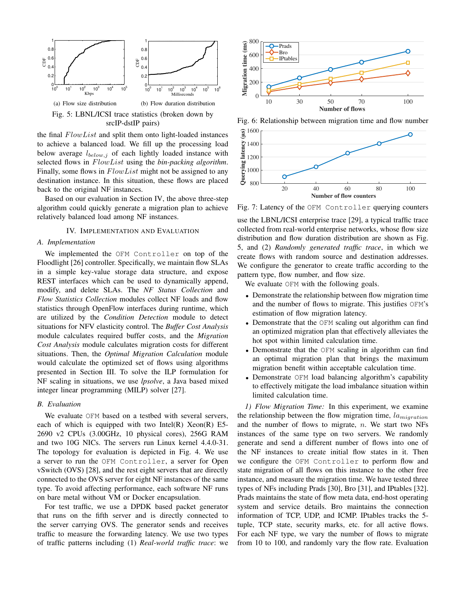

the final FlowList and split them onto light-loaded instances to achieve a balanced load. We fill up the processing load below average  $l_{below,j}$  of each lightly loaded instance with selected flows in FlowList using the *bin-packing algorithm*. Finally, some flows in  $FlowList$  might not be assigned to any destination instance. In this situation, these flows are placed back to the original NF instances.

Based on our evaluation in Section IV, the above three-step algorithm could quickly generate a migration plan to achieve relatively balanced load among NF instances.

## IV. IMPLEMENTATION AND EVALUATION

#### *A. Implementation*

We implemented the OFM Controller on top of the Floodlight [26] controller. Specifically, we maintain flow SLAs in a simple key-value storage data structure, and expose REST interfaces which can be used to dynamically append, modify, and delete SLAs. The *NF Status Collection* and *Flow Statistics Collection* modules collect NF loads and flow statistics through OpenFlow interfaces during runtime, which are utilized by the *Condition Detection* module to detect situations for NFV elasticity control. The *Buffer Cost Analysis* module calculates required buffer costs, and the *Migration Cost Analysis* module calculates migration costs for different situations. Then, the *Optimal Migration Calculation* module would calculate the optimized set of flows using algorithms presented in Section III. To solve the ILP formulation for NF scaling in situations, we use *lpsolve*, a Java based mixed integer linear programming (MILP) solver [27].

#### *B. Evaluation*

We evaluate OFM based on a testbed with several servers, each of which is equipped with two Intel $(R)$  Xeon $(R)$  E5-2690 v2 CPUs (3.00GHz, 10 physical cores), 256G RAM and two 10G NICs. The servers run Linux kernel 4.4.0-31. The topology for evaluation is depicted in Fig. 4. We use a server to run the OFM Controller, a server for Open vSwitch (OVS) [28], and the rest eight servers that are directly connected to the OVS server for eight NF instances of the same type. To avoid affecting performance, each software NF runs on bare metal without VM or Docker encapsulation.

For test traffic, we use a DPDK based packet generator that runs on the fifth server and is directly connected to the server carrying OVS. The generator sends and receives traffic to measure the forwarding latency. We use two types of traffic patterns including (1) *Real-world traffic trace*: we



Fig. 6: Relationship between migration time and flow number



Fig. 7: Latency of the OFM Controller querying counters

use the LBNL/ICSI enterprise trace [29], a typical traffic trace collected from real-world enterprise networks, whose flow size distribution and flow duration distribution are shown as Fig. 5, and (2) *Randomly generated traffic trace*, in which we create flows with random source and destination addresses. We configure the generator to create traffic according to the pattern type, flow number, and flow size.

We evaluate OFM with the following goals.

- Demonstrate the relationship between flow migration time and the number of flows to migrate. This justifies OFM's estimation of flow migration latency.
- Demonstrate that the OFM scaling out algorithm can find an optimized migration plan that effectively alleviates the hot spot within limited calculation time.
- Demonstrate that the OFM scaling in algorithm can find an optimal migration plan that brings the maximum migration benefit within acceptable calculation time.
- Demonstrate OFM load balancing algorithm's capability to effectively mitigate the load imbalance situation within limited calculation time.

*1) Flow Migration Time:* In this experiment, we examine the relationship between the flow migration time,  $la<sub>minoration</sub>$ and the number of flows to migrate,  $n$ . We start two NFs instances of the same type on two servers. We randomly generate and send a different number of flows into one of the NF instances to create initial flow states in it. Then we configure the OFM Controller to perform flow and state migration of all flows on this instance to the other free instance, and measure the migration time. We have tested three types of NFs including Prads [30], Bro [31], and IPtables [32]. Prads maintains the state of flow meta data, end-host operating system and service details. Bro maintains the connection information of TCP, UDP, and ICMP. IPtables tracks the 5 tuple, TCP state, security marks, etc. for all active flows. For each NF type, we vary the number of flows to migrate from 10 to 100, and randomly vary the flow rate. Evaluation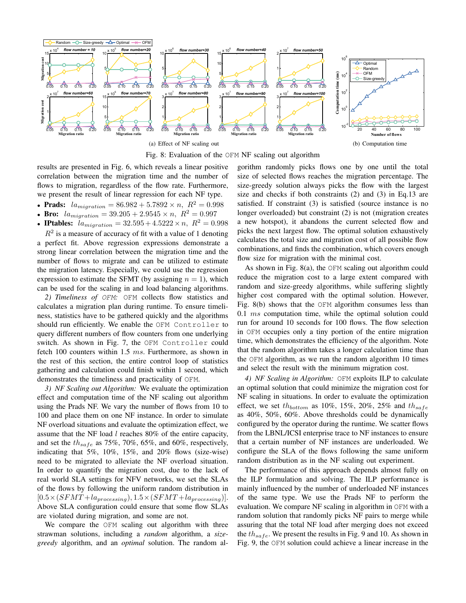

Fig. 8: Evaluation of the OFM NF scaling out algorithm

results are presented in Fig. 6, which reveals a linear positive correlation between the migration time and the number of flows to migration, regardless of the flow rate. Furthermore, we present the result of linear regression for each NF type.

- Prads:  $la_{migration} = 86.982 + 5.7892 \times n$ ,  $R^2 = 0.998$
- Bro:  $la<sub>majoration</sub> = 39.205 + 2.9545 \times n$ ,  $R<sup>2</sup> = 0.997$
- **IPtables:**  $la_{migration} = 32.595 + 4.5222 \times n$ ,  $R^2 = 0.998$

 $R^2$  is a measure of accuracy of fit with a value of 1 denoting a perfect fit. Above regression expressions demonstrate a strong linear correlation between the migration time and the number of flows to migrate and can be utilized to estimate the migration latency. Especially, we could use the regression expression to estimate the SFMT (by assigning  $n = 1$ ), which can be used for the scaling in and load balancing algorithms.

*2) Timeliness of* OFM*:* OFM collects flow statistics and calculates a migration plan during runtime. To ensure timeliness, statistics have to be gathered quickly and the algorithms should run efficiently. We enable the OFM Controller to query different numbers of flow counters from one underlying switch. As shown in Fig. 7, the OFM Controller could fetch 100 counters within 1.5 ms. Furthermore, as shown in the rest of this section, the entire control loop of statistics gathering and calculation could finish within 1 second, which demonstrates the timeliness and practicality of OFM.

*3) NF Scaling out Algorithm:* We evaluate the optimization effect and computation time of the NF scaling out algorithm using the Prads NF. We vary the number of flows from 10 to 100 and place them on one NF instance. In order to simulate NF overload situations and evaluate the optimization effect, we assume that the NF load l reaches 80% of the entire capacity, and set the  $th_{safe}$  as 75%, 70%, 65%, and 60%, respectively, indicating that 5%, 10%, 15%, and 20% flows (size-wise) need to be migrated to alleviate the NF overload situation. In order to quantify the migration cost, due to the lack of real world SLA settings for NFV networks, we set the SLAs of the flows by following the uniform random distribution in  $[0.5\times (SFMT + la_{processing}), 1.5\times (SFMT + la_{processing})].$ Above SLA configuration could ensure that some flow SLAs are violated during migration, and some are not.

We compare the OFM scaling out algorithm with three strawman solutions, including a *random* algorithm, a *sizegreedy* algorithm, and an *optimal* solution. The random algorithm randomly picks flows one by one until the total size of selected flows reaches the migration percentage. The size-greedy solution always picks the flow with the largest size and checks if both constraints (2) and (3) in Eq.13 are satisfied. If constraint (3) is satisfied (source instance is no longer overloaded) but constraint (2) is not (migration creates a new hotspot), it abandons the current selected flow and picks the next largest flow. The optimal solution exhaustively calculates the total size and migration cost of all possible flow combinations, and finds the combination, which covers enough flow size for migration with the minimal cost.

As shown in Fig. 8(a), the OFM scaling out algorithm could reduce the migration cost to a large extent compared with random and size-greedy algorithms, while suffering slightly higher cost compared with the optimal solution. However, Fig. 8(b) shows that the OFM algorithm consumes less than 0.1 ms computation time, while the optimal solution could run for around 10 seconds for 100 flows. The flow selection in OFM occupies only a tiny portion of the entire migration time, which demonstrates the efficiency of the algorithm. Note that the random algorithm takes a longer calculation time than the OFM algorithm, as we run the random algorithm 10 times and select the result with the minimum migration cost.

*4) NF Scaling in Algorithm:* OFM exploits ILP to calculate an optimal solution that could minimize the migration cost for NF scaling in situations. In order to evaluate the optimization effect, we set  $th_{bottom}$  as 10%, 15%, 20%, 25% and  $th_{safe}$ as 40%, 50%, 60%. Above thresholds could be dynamically configured by the operator during the runtime. We scatter flows from the LBNL/ICSI enterprise trace to NF instances to ensure that a certain number of NF instances are underloaded. We configure the SLA of the flows following the same uniform random distribution as in the NF scaling out experiment.

The performance of this approach depends almost fully on the ILP formulation and solving. The ILP performance is mainly influenced by the number of underloaded NF instances of the same type. We use the Prads NF to perform the evaluation. We compare NF scaling in algorithm in OFM with a random solution that randomly picks NF pairs to merge while assuring that the total NF load after merging does not exceed the  $th_{safe}$ . We present the results in Fig. 9 and 10. As shown in Fig. 9, the OFM solution could achieve a linear increase in the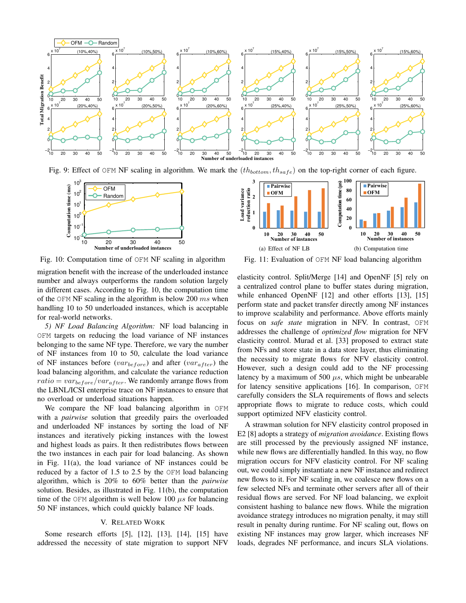

Fig. 9: Effect of OFM NF scaling in algorithm. We mark the  $(th_{bottom}, th_{safe})$  on the top-right corner of each figure.



Fig. 10: Computation time of OFM NF scaling in algorithm

migration benefit with the increase of the underloaded instance number and always outperforms the random solution largely in different cases. According to Fig. 10, the computation time of the OFM NF scaling in the algorithm is below 200  $ms$  when handling 10 to 50 underloaded instances, which is acceptable for real-world networks.

*5) NF Load Balancing Algorithm:* NF load balancing in OFM targets on reducing the load variance of NF instances belonging to the same NF type. Therefore, we vary the number of NF instances from 10 to 50, calculate the load variance of NF instances before  $(var_{before})$  and after  $(var_{after})$  the load balancing algorithm, and calculate the variance reduction  $ratio = var_{before}/var_{after}$ . We randomly arrange flows from the LBNL/ICSI enterprise trace on NF instances to ensure that no overload or underload situations happen.

We compare the NF load balancing algorithm in OFM with a *pairwise* solution that greedily pairs the overloaded and underloaded NF instances by sorting the load of NF instances and iteratively picking instances with the lowest and highest loads as pairs. It then redistributes flows between the two instances in each pair for load balancing. As shown in Fig. 11(a), the load variance of NF instances could be reduced by a factor of 1.5 to 2.5 by the OFM load balancing algorithm, which is 20% to 60% better than the *pairwise* solution. Besides, as illustrated in Fig. 11(b), the computation time of the OFM algorithm is well below 100  $\mu s$  for balancing 50 NF instances, which could quickly balance NF loads.

## V. RELATED WORK

Some research efforts [5], [12], [13], [14], [15] have addressed the necessity of state migration to support NFV



Fig. 11: Evaluation of OFM NF load balancing algorithm

elasticity control. Split/Merge [14] and OpenNF [5] rely on a centralized control plane to buffer states during migration, while enhanced OpenNF [12] and other efforts [13], [15] perform state and packet transfer directly among NF instances to improve scalability and performance. Above efforts mainly focus on *safe state* migration in NFV. In contrast, OFM addresses the challenge of *optimized flow* migration for NFV elasticity control. Murad et al. [33] proposed to extract state from NFs and store state in a data store layer, thus eliminating the necessity to migrate flows for NFV elasticity control. However, such a design could add to the NF processing latency by a maximum of 500  $\mu s$ , which might be unbearable for latency sensitive applications [16]. In comparison, OFM carefully considers the SLA requirements of flows and selects appropriate flows to migrate to reduce costs, which could support optimized NFV elasticity control.

A strawman solution for NFV elasticity control proposed in E2 [8] adopts a strategy of *migration avoidance*. Existing flows are still processed by the previously assigned NF instance, while new flows are differentially handled. In this way, no flow migration occurs for NFV elasticity control. For NF scaling out, we could simply instantiate a new NF instance and redirect new flows to it. For NF scaling in, we coalesce new flows on a few selected NFs and terminate other servers after all of their residual flows are served. For NF load balancing, we exploit consistent hashing to balance new flows. While the migration avoidance strategy introduces no migration penalty, it may still result in penalty during runtime. For NF scaling out, flows on existing NF instances may grow larger, which increases NF loads, degrades NF performance, and incurs SLA violations.